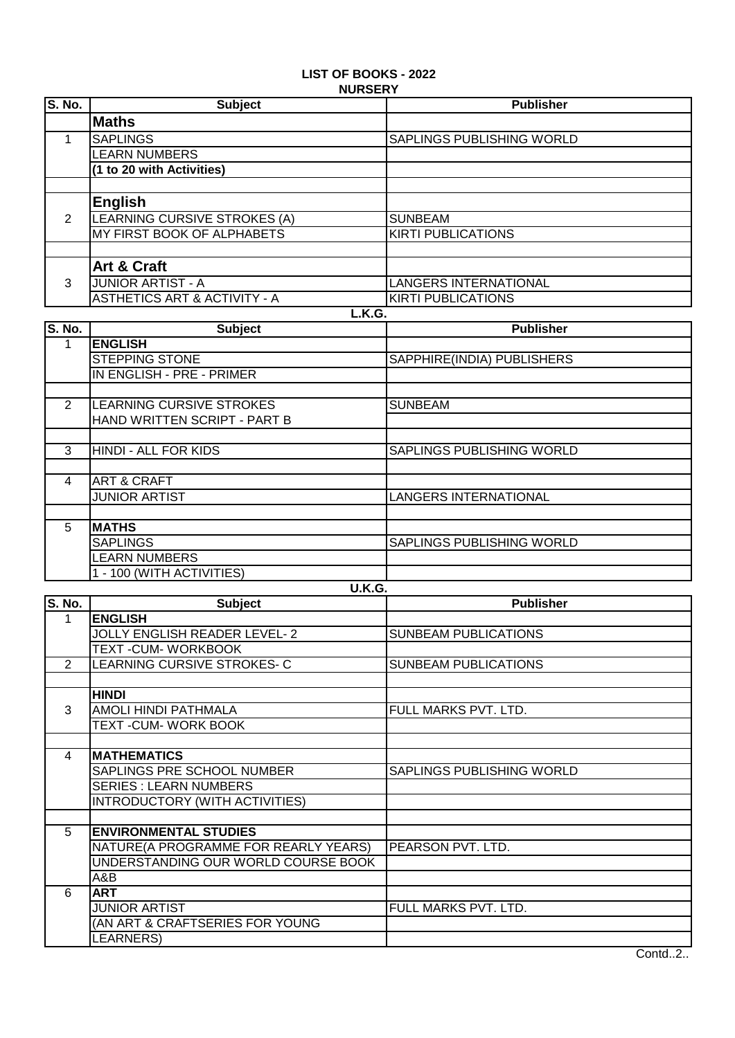# **LIST OF BOOKS - 2022 NURSERY**

| <b>S. No.</b> | <b>Subject</b>                          | <b>Publisher</b>             |
|---------------|-----------------------------------------|------------------------------|
|               | <b>Maths</b>                            |                              |
|               | <b>SAPLINGS</b>                         | SAPLINGS PUBLISHING WORLD    |
|               | <b>LEARN NUMBERS</b>                    |                              |
|               | (1 to 20 with Activities)               |                              |
|               |                                         |                              |
|               | <b>English</b>                          |                              |
| 2             | LEARNING CURSIVE STROKES (A)            | <b>SUNBEAM</b>               |
|               | MY FIRST BOOK OF ALPHABETS              | <b>KIRTI PUBLICATIONS</b>    |
|               |                                         |                              |
|               | Art & Craft                             |                              |
| 3             | <b>JUNIOR ARTIST - A</b>                | <b>LANGERS INTERNATIONAL</b> |
|               | <b>ASTHETICS ART &amp; ACTIVITY - A</b> | <b>KIRTI PUBLICATIONS</b>    |
| L.K.G.        |                                         |                              |

| <b>S. No.</b>  | <b>Subject</b>               | <b>Publisher</b>             |
|----------------|------------------------------|------------------------------|
|                | <b>ENGLISH</b>               |                              |
|                | <b>STEPPING STONE</b>        | SAPPHIRE(INDIA) PUBLISHERS   |
|                | IN ENGLISH - PRE - PRIMER    |                              |
|                |                              |                              |
| $\overline{2}$ | LEARNING CURSIVE STROKES     | <b>SUNBEAM</b>               |
|                | HAND WRITTEN SCRIPT - PART B |                              |
|                |                              |                              |
| 3              | HINDI - ALL FOR KIDS         | SAPLINGS PUBLISHING WORLD    |
|                |                              |                              |
| 4              | <b>ART &amp; CRAFT</b>       |                              |
|                | <b>JUNIOR ARTIST</b>         | <b>LANGERS INTERNATIONAL</b> |
|                |                              |                              |
| 5              | <b>MATHS</b>                 |                              |
|                | <b>SAPLINGS</b>              | SAPLINGS PUBLISHING WORLD    |
|                | <b>LEARN NUMBERS</b>         |                              |
|                | 1 - 100 (WITH ACTIVITIES)    |                              |

|                | <b>U.K.G.</b>                         |                             |  |
|----------------|---------------------------------------|-----------------------------|--|
| S. No.         | <b>Subject</b>                        | <b>Publisher</b>            |  |
| 1              | <b>ENGLISH</b>                        |                             |  |
|                | <b>JOLLY ENGLISH READER LEVEL-2</b>   | <b>SUNBEAM PUBLICATIONS</b> |  |
|                | TEXT-CUM-WORKBOOK                     |                             |  |
| $\overline{2}$ | LEARNING CURSIVE STROKES-C            | <b>SUNBEAM PUBLICATIONS</b> |  |
|                |                                       |                             |  |
|                | <b>HINDI</b>                          |                             |  |
| 3              | AMOLI HINDI PATHMALA                  | FULL MARKS PVT. LTD.        |  |
|                | TEXT-CUM-WORK BOOK                    |                             |  |
|                |                                       |                             |  |
| 4              | <b>MATHEMATICS</b>                    |                             |  |
|                | SAPLINGS PRE SCHOOL NUMBER            | SAPLINGS PUBLISHING WORLD   |  |
|                | <b>SERIES: LEARN NUMBERS</b>          |                             |  |
|                | <b>INTRODUCTORY (WITH ACTIVITIES)</b> |                             |  |
|                |                                       |                             |  |
| 5              | <b>ENVIRONMENTAL STUDIES</b>          |                             |  |
|                | NATURE(A PROGRAMME FOR REARLY YEARS)  | PEARSON PVT. LTD.           |  |
|                | UNDERSTANDING OUR WORLD COURSE BOOK   |                             |  |
|                | A&B                                   |                             |  |
| 6              | <b>ART</b>                            |                             |  |
|                | <b>JUNIOR ARTIST</b>                  | FULL MARKS PVT. LTD.        |  |
|                | (AN ART & CRAFTSERIES FOR YOUNG       |                             |  |
|                | LEARNERS)                             |                             |  |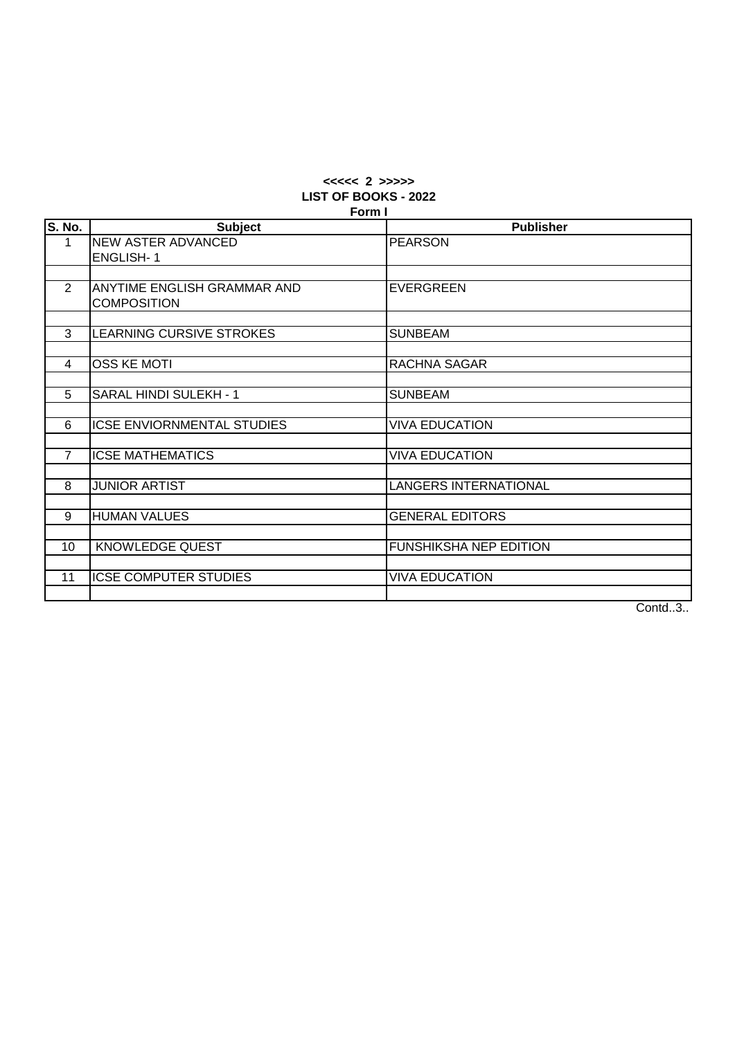#### **<<<<< 2 >>>>> LIST OF BOOKS - 2022 Form I**

|                | гонн г                            |                               |  |
|----------------|-----------------------------------|-------------------------------|--|
| S. No.         | <b>Subject</b>                    | <b>Publisher</b>              |  |
| $\mathbf{1}$   | <b>NEW ASTER ADVANCED</b>         | <b>PEARSON</b>                |  |
|                | <b>ENGLISH-1</b>                  |                               |  |
|                |                                   |                               |  |
| $\overline{2}$ | ANYTIME ENGLISH GRAMMAR AND       | <b>EVERGREEN</b>              |  |
|                | <b>COMPOSITION</b>                |                               |  |
|                |                                   |                               |  |
| 3              | LEARNING CURSIVE STROKES          | <b>SUNBEAM</b>                |  |
|                |                                   |                               |  |
| 4              | <b>OSS KE MOTI</b>                | RACHNA SAGAR                  |  |
|                |                                   |                               |  |
| 5              | SARAL HINDI SULEKH - 1            | <b>SUNBEAM</b>                |  |
|                |                                   |                               |  |
| 6              | <b>ICSE ENVIORNMENTAL STUDIES</b> | <b>VIVA EDUCATION</b>         |  |
|                |                                   |                               |  |
| $\overline{7}$ | <b>ICSE MATHEMATICS</b>           | <b>VIVA EDUCATION</b>         |  |
|                |                                   |                               |  |
| 8              | <b>JUNIOR ARTIST</b>              | <b>LANGERS INTERNATIONAL</b>  |  |
|                |                                   |                               |  |
| 9              | <b>HUMAN VALUES</b>               | <b>GENERAL EDITORS</b>        |  |
|                |                                   |                               |  |
| 10             | KNOWLEDGE QUEST                   | <b>FUNSHIKSHA NEP EDITION</b> |  |
|                |                                   |                               |  |
| 11             | <b>ICSE COMPUTER STUDIES</b>      | <b>VIVA EDUCATION</b>         |  |
|                |                                   |                               |  |

Contd..3..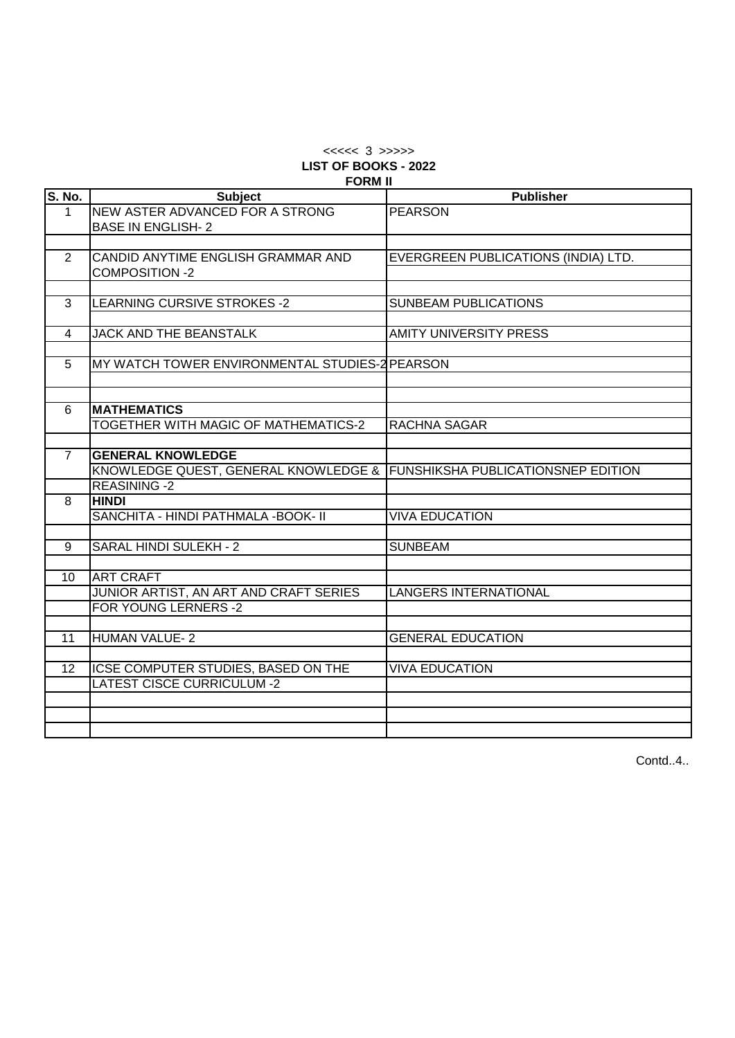## $<<<<$  3 >>>>> **LIST OF BOOKS - 2022 FORM II**

| S. No.         | <b>Subject</b>                                                                                 | <b>Publisher</b>                    |
|----------------|------------------------------------------------------------------------------------------------|-------------------------------------|
| $\mathbf{1}$   | <b>NEW ASTER ADVANCED FOR A STRONG</b><br><b>BASE IN ENGLISH-2</b>                             | <b>PEARSON</b>                      |
|                |                                                                                                |                                     |
| 2              | CANDID ANYTIME ENGLISH GRAMMAR AND<br><b>COMPOSITION -2</b>                                    | EVERGREEN PUBLICATIONS (INDIA) LTD. |
|                |                                                                                                |                                     |
| 3              | LEARNING CURSIVE STROKES -2                                                                    | <b>SUNBEAM PUBLICATIONS</b>         |
| 4              | JACK AND THE BEANSTALK                                                                         | <b>AMITY UNIVERSITY PRESS</b>       |
|                |                                                                                                |                                     |
| 5              | MY WATCH TOWER ENVIRONMENTAL STUDIES-2 PEARSON                                                 |                                     |
|                |                                                                                                |                                     |
| 6              | <b>MATHEMATICS</b>                                                                             |                                     |
|                | TOGETHER WITH MAGIC OF MATHEMATICS-2                                                           | <b>RACHNA SAGAR</b>                 |
|                |                                                                                                |                                     |
| $\overline{7}$ | <b>GENERAL KNOWLEDGE</b>                                                                       |                                     |
|                | KNOWLEDGE QUEST, GENERAL KNOWLEDGE & FUNSHIKSHA PUBLICATIONSNEP EDITION<br><b>REASINING -2</b> |                                     |
| 8              | <b>HINDI</b>                                                                                   |                                     |
|                | SANCHITA - HINDI PATHMALA -BOOK- II                                                            | <b>VIVA EDUCATION</b>               |
|                |                                                                                                |                                     |
| 9              | SARAL HINDI SULEKH - 2                                                                         | <b>SUNBEAM</b>                      |
|                |                                                                                                |                                     |
| 10             | <b>ART CRAFT</b>                                                                               |                                     |
|                | JUNIOR ARTIST, AN ART AND CRAFT SERIES                                                         | <b>LANGERS INTERNATIONAL</b>        |
|                | FOR YOUNG LERNERS -2                                                                           |                                     |
| 11             | <b>HUMAN VALUE-2</b>                                                                           | <b>GENERAL EDUCATION</b>            |
|                |                                                                                                |                                     |
| 12             | ICSE COMPUTER STUDIES, BASED ON THE                                                            | <b>VIVA EDUCATION</b>               |
|                | <b>LATEST CISCE CURRICULUM -2</b>                                                              |                                     |
|                |                                                                                                |                                     |
|                |                                                                                                |                                     |
|                |                                                                                                |                                     |

Contd..4..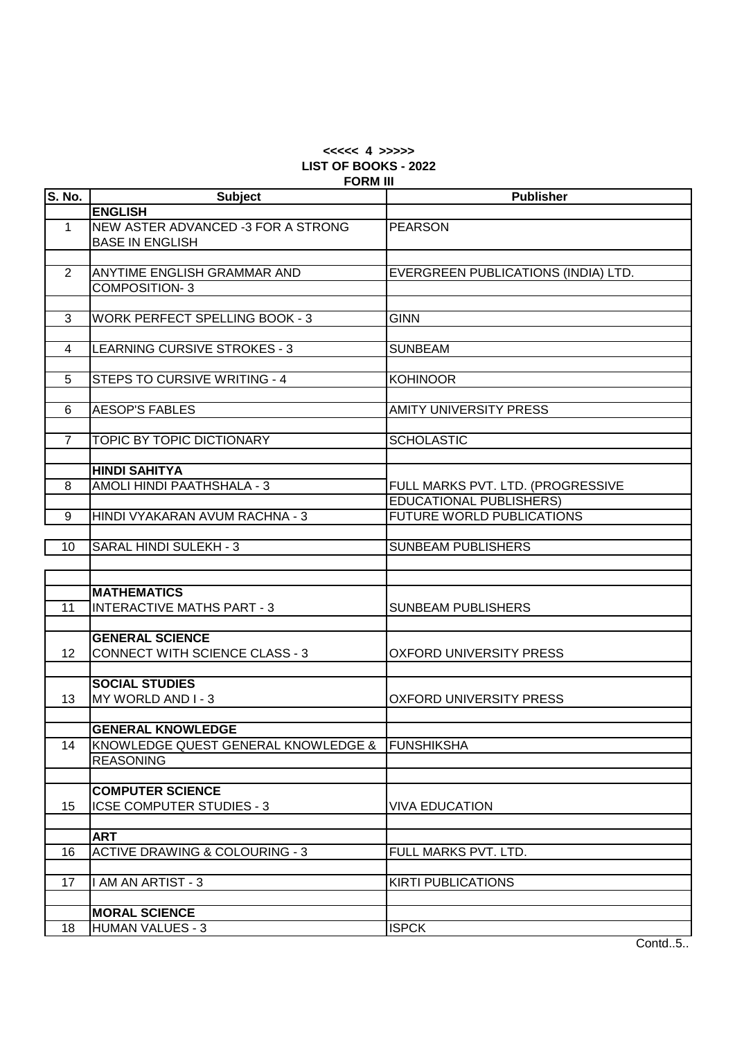# **<<<<< 4 >>>>> LIST OF BOOKS - 2022 FORM III**

| S. No.         | <b>Subject</b>                                 | <b>Publisher</b>                    |
|----------------|------------------------------------------------|-------------------------------------|
|                | <b>ENGLISH</b>                                 |                                     |
| $\mathbf{1}$   | NEW ASTER ADVANCED -3 FOR A STRONG             | <b>PEARSON</b>                      |
|                | <b>BASE IN ENGLISH</b>                         |                                     |
|                |                                                |                                     |
| $\overline{2}$ | ANYTIME ENGLISH GRAMMAR AND                    | EVERGREEN PUBLICATIONS (INDIA) LTD. |
|                | <b>COMPOSITION-3</b>                           |                                     |
|                |                                                |                                     |
| 3              | <b>WORK PERFECT SPELLING BOOK - 3</b>          | <b>GINN</b>                         |
|                |                                                |                                     |
| 4              | LEARNING CURSIVE STROKES - 3                   | <b>SUNBEAM</b>                      |
|                |                                                |                                     |
| 5              | STEPS TO CURSIVE WRITING - 4                   | <b>KOHINOOR</b>                     |
|                |                                                |                                     |
| 6              | <b>AESOP'S FABLES</b>                          | <b>AMITY UNIVERSITY PRESS</b>       |
|                |                                                |                                     |
| $\overline{7}$ | TOPIC BY TOPIC DICTIONARY                      | <b>SCHOLASTIC</b>                   |
|                |                                                |                                     |
|                | <b>HINDI SAHITYA</b>                           |                                     |
| 8              | AMOLI HINDI PAATHSHALA - 3                     | FULL MARKS PVT. LTD. (PROGRESSIVE   |
|                |                                                | <b>EDUCATIONAL PUBLISHERS)</b>      |
| 9              | HINDI VYAKARAN AVUM RACHNA - 3                 | <b>FUTURE WORLD PUBLICATIONS</b>    |
|                |                                                |                                     |
| 10             | SARAL HINDI SULEKH - 3                         | <b>SUNBEAM PUBLISHERS</b>           |
|                |                                                |                                     |
|                |                                                |                                     |
|                | <b>MATHEMATICS</b>                             |                                     |
| 11             | <b>INTERACTIVE MATHS PART - 3</b>              | <b>SUNBEAM PUBLISHERS</b>           |
|                |                                                |                                     |
|                | <b>GENERAL SCIENCE</b>                         |                                     |
| 12             | <b>CONNECT WITH SCIENCE CLASS - 3</b>          | <b>OXFORD UNIVERSITY PRESS</b>      |
|                |                                                |                                     |
|                | <b>SOCIAL STUDIES</b>                          |                                     |
| 13             | MY WORLD AND I - 3                             | <b>OXFORD UNIVERSITY PRESS</b>      |
|                |                                                |                                     |
|                | <b>GENERAL KNOWLEDGE</b>                       |                                     |
| 14             | KNOWLEDGE QUEST GENERAL KNOWLEDGE & FUNSHIKSHA |                                     |
|                | <b>REASONING</b>                               |                                     |
|                |                                                |                                     |
|                | <b>COMPUTER SCIENCE</b>                        |                                     |
| 15             | ICSE COMPUTER STUDIES - 3                      | <b>VIVA EDUCATION</b>               |
|                |                                                |                                     |
|                | <b>ART</b>                                     |                                     |
| 16             | <b>ACTIVE DRAWING &amp; COLOURING - 3</b>      | FULL MARKS PVT. LTD.                |
|                |                                                |                                     |
| 17             | I AM AN ARTIST - 3                             | <b>KIRTI PUBLICATIONS</b>           |
|                |                                                |                                     |
|                | <b>MORAL SCIENCE</b>                           |                                     |
| 18             | <b>HUMAN VALUES - 3</b>                        | <b>ISPCK</b>                        |
|                |                                                |                                     |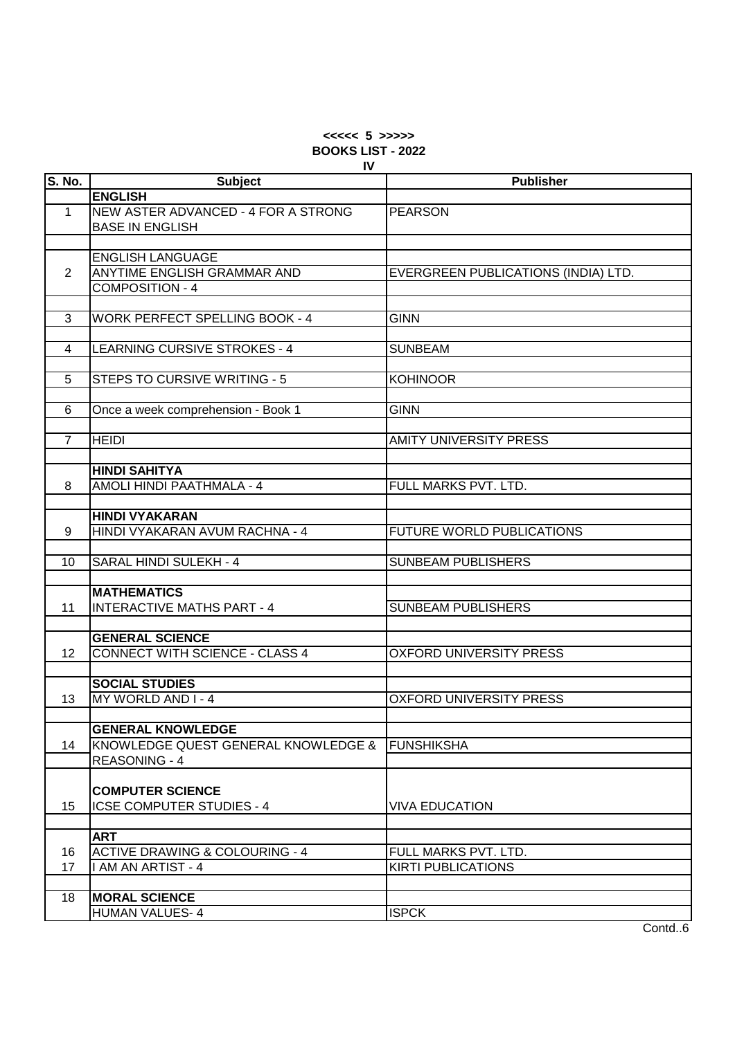# **<<<<< 5 >>>>> BOOKS LIST - 2022 IV**

| S. No.         | <b>Subject</b>                                                  | <b>Publisher</b>                    |
|----------------|-----------------------------------------------------------------|-------------------------------------|
|                | <b>ENGLISH</b>                                                  |                                     |
| $\mathbf{1}$   | NEW ASTER ADVANCED - 4 FOR A STRONG                             | <b>PEARSON</b>                      |
|                | <b>BASE IN ENGLISH</b>                                          |                                     |
|                |                                                                 |                                     |
|                | <b>ENGLISH LANGUAGE</b>                                         |                                     |
| $\overline{2}$ | <b>ANYTIME ENGLISH GRAMMAR AND</b>                              | EVERGREEN PUBLICATIONS (INDIA) LTD. |
|                | <b>COMPOSITION - 4</b>                                          |                                     |
|                |                                                                 |                                     |
| 3              | <b>WORK PERFECT SPELLING BOOK - 4</b>                           | <b>GINN</b>                         |
|                |                                                                 |                                     |
| 4              | LEARNING CURSIVE STROKES - 4                                    | <b>SUNBEAM</b>                      |
|                |                                                                 |                                     |
| 5              | STEPS TO CURSIVE WRITING - 5                                    | <b>KOHINOOR</b>                     |
|                |                                                                 |                                     |
| 6              | Once a week comprehension - Book 1                              | <b>GINN</b>                         |
|                |                                                                 |                                     |
| $\overline{7}$ | <b>HEIDI</b>                                                    | <b>AMITY UNIVERSITY PRESS</b>       |
|                |                                                                 |                                     |
|                | <b>HINDI SAHITYA</b>                                            |                                     |
| 8              | AMOLI HINDI PAATHMALA - 4                                       | FULL MARKS PVT. LTD.                |
|                |                                                                 |                                     |
|                | <b>HINDI VYAKARAN</b>                                           |                                     |
| 9              | HINDI VYAKARAN AVUM RACHNA - 4                                  | FUTURE WORLD PUBLICATIONS           |
|                |                                                                 |                                     |
| 10             | SARAL HINDI SULEKH - 4                                          | <b>SUNBEAM PUBLISHERS</b>           |
|                |                                                                 |                                     |
|                | <b>MATHEMATICS</b>                                              |                                     |
| 11             | <b>INTERACTIVE MATHS PART - 4</b>                               | <b>SUNBEAM PUBLISHERS</b>           |
|                |                                                                 |                                     |
| 12             | <b>GENERAL SCIENCE</b><br><b>CONNECT WITH SCIENCE - CLASS 4</b> | <b>OXFORD UNIVERSITY PRESS</b>      |
|                |                                                                 |                                     |
|                | <b>SOCIAL STUDIES</b>                                           |                                     |
| 13             | MY WORLD AND I - 4                                              | <b>OXFORD UNIVERSITY PRESS</b>      |
|                |                                                                 |                                     |
|                | <b>GENERAL KNOWLEDGE</b>                                        |                                     |
| 14             | KNOWLEDGE QUEST GENERAL KNOWLEDGE &                             | <b>FUNSHIKSHA</b>                   |
|                | <b>REASONING - 4</b>                                            |                                     |
|                |                                                                 |                                     |
|                | <b>COMPUTER SCIENCE</b>                                         |                                     |
| 15             | <b>ICSE COMPUTER STUDIES - 4</b>                                | <b>VIVA EDUCATION</b>               |
|                |                                                                 |                                     |
|                | <b>ART</b>                                                      |                                     |
| 16             | <b>ACTIVE DRAWING &amp; COLOURING - 4</b>                       | FULL MARKS PVT. LTD.                |
| 17             | I AM AN ARTIST - 4                                              | <b>KIRTI PUBLICATIONS</b>           |
|                |                                                                 |                                     |
| 18             | <b>MORAL SCIENCE</b>                                            |                                     |
|                | <b>HUMAN VALUES-4</b>                                           | <b>ISPCK</b>                        |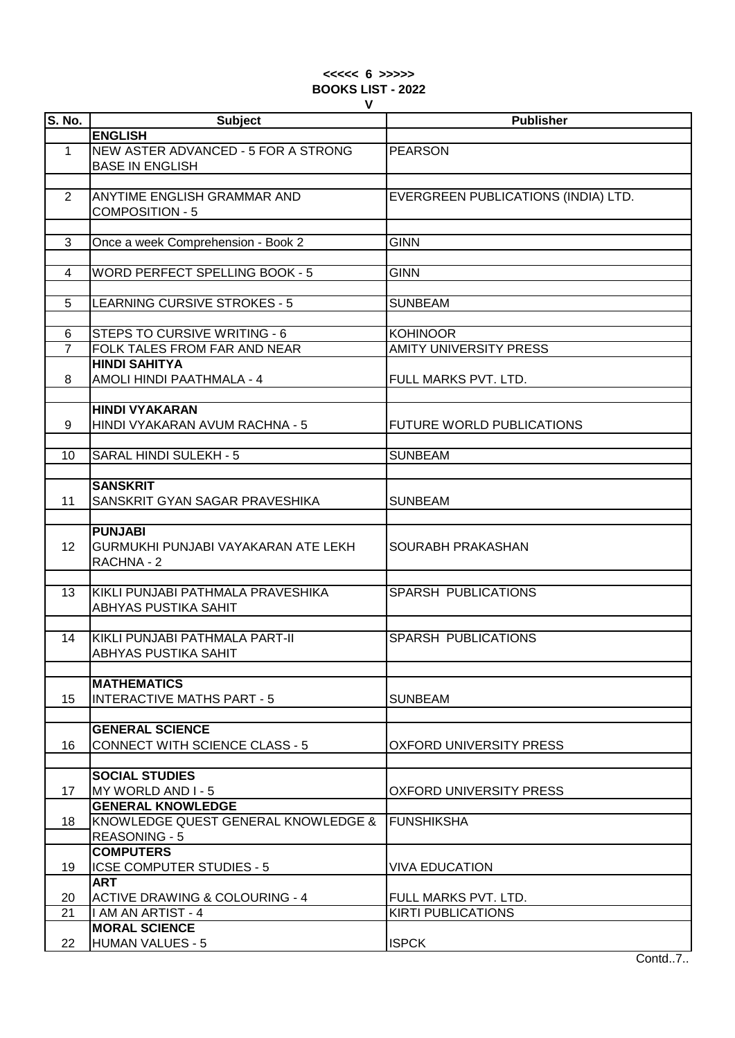### **<<<<< 6 >>>>> BOOKS LIST - 2022 V**

| <b>S. No.</b>  | <b>Subject</b>                            | <b>Publisher</b>                    |
|----------------|-------------------------------------------|-------------------------------------|
|                | <b>ENGLISH</b>                            |                                     |
|                |                                           |                                     |
| $\mathbf{1}$   | NEW ASTER ADVANCED - 5 FOR A STRONG       | <b>PEARSON</b>                      |
|                | <b>BASE IN ENGLISH</b>                    |                                     |
|                |                                           |                                     |
| $\overline{2}$ | ANYTIME ENGLISH GRAMMAR AND               | EVERGREEN PUBLICATIONS (INDIA) LTD. |
|                | COMPOSITION - 5                           |                                     |
|                |                                           |                                     |
| 3              | Once a week Comprehension - Book 2        | <b>GINN</b>                         |
|                |                                           |                                     |
| 4              | <b>WORD PERFECT SPELLING BOOK - 5</b>     | <b>GINN</b>                         |
|                |                                           |                                     |
| 5              | <b>LEARNING CURSIVE STROKES - 5</b>       | <b>SUNBEAM</b>                      |
|                |                                           |                                     |
| 6              | <b>STEPS TO CURSIVE WRITING - 6</b>       | <b>KOHINOOR</b>                     |
| $\overline{7}$ | FOLK TALES FROM FAR AND NEAR              | <b>AMITY UNIVERSITY PRESS</b>       |
|                | <b>HINDI SAHITYA</b>                      |                                     |
| 8              | AMOLI HINDI PAATHMALA - 4                 | FULL MARKS PVT. LTD.                |
|                |                                           |                                     |
|                | <b>HINDI VYAKARAN</b>                     |                                     |
|                | HINDI VYAKARAN AVUM RACHNA - 5            |                                     |
| 9              |                                           | <b>FUTURE WORLD PUBLICATIONS</b>    |
|                |                                           |                                     |
| 10             | SARAL HINDI SULEKH - 5                    | <b>SUNBEAM</b>                      |
|                |                                           |                                     |
|                | <b>SANSKRIT</b>                           |                                     |
| 11             | SANSKRIT GYAN SAGAR PRAVESHIKA            | <b>SUNBEAM</b>                      |
|                |                                           |                                     |
|                | <b>PUNJABI</b>                            |                                     |
| 12             | GURMUKHI PUNJABI VAYAKARAN ATE LEKH       | SOURABH PRAKASHAN                   |
|                | RACHNA - 2                                |                                     |
|                |                                           |                                     |
| 13             | KIKLI PUNJABI PATHMALA PRAVESHIKA         | <b>SPARSH PUBLICATIONS</b>          |
|                | ABHYAS PUSTIKA SAHIT                      |                                     |
|                |                                           |                                     |
| 14             | KIKLI PUNJABI PATHMALA PART-II            | <b>SPARSH PUBLICATIONS</b>          |
|                | <b>ABHYAS PUSTIKA SAHIT</b>               |                                     |
|                |                                           |                                     |
|                | <b>MATHEMATICS</b>                        |                                     |
| 15             | <b>INTERACTIVE MATHS PART - 5</b>         | <b>SUNBEAM</b>                      |
|                |                                           |                                     |
|                | <b>GENERAL SCIENCE</b>                    |                                     |
| 16             | <b>CONNECT WITH SCIENCE CLASS - 5</b>     | OXFORD UNIVERSITY PRESS             |
|                |                                           |                                     |
|                | <b>SOCIAL STUDIES</b>                     |                                     |
| 17             | MY WORLD AND I-5                          | OXFORD UNIVERSITY PRESS             |
|                |                                           |                                     |
|                | <b>GENERAL KNOWLEDGE</b>                  |                                     |
| 18             | KNOWLEDGE QUEST GENERAL KNOWLEDGE &       | <b>FUNSHIKSHA</b>                   |
|                | <b>REASONING - 5</b>                      |                                     |
|                | <b>COMPUTERS</b>                          |                                     |
| 19             | <b>ICSE COMPUTER STUDIES - 5</b>          | <b>VIVA EDUCATION</b>               |
|                | <b>ART</b>                                |                                     |
| 20             | <b>ACTIVE DRAWING &amp; COLOURING - 4</b> | FULL MARKS PVT. LTD.                |
| 21             | I AM AN ARTIST - 4                        | <b>KIRTI PUBLICATIONS</b>           |
|                | <b>MORAL SCIENCE</b>                      |                                     |
| 22             | <b>HUMAN VALUES - 5</b>                   | <b>ISPCK</b>                        |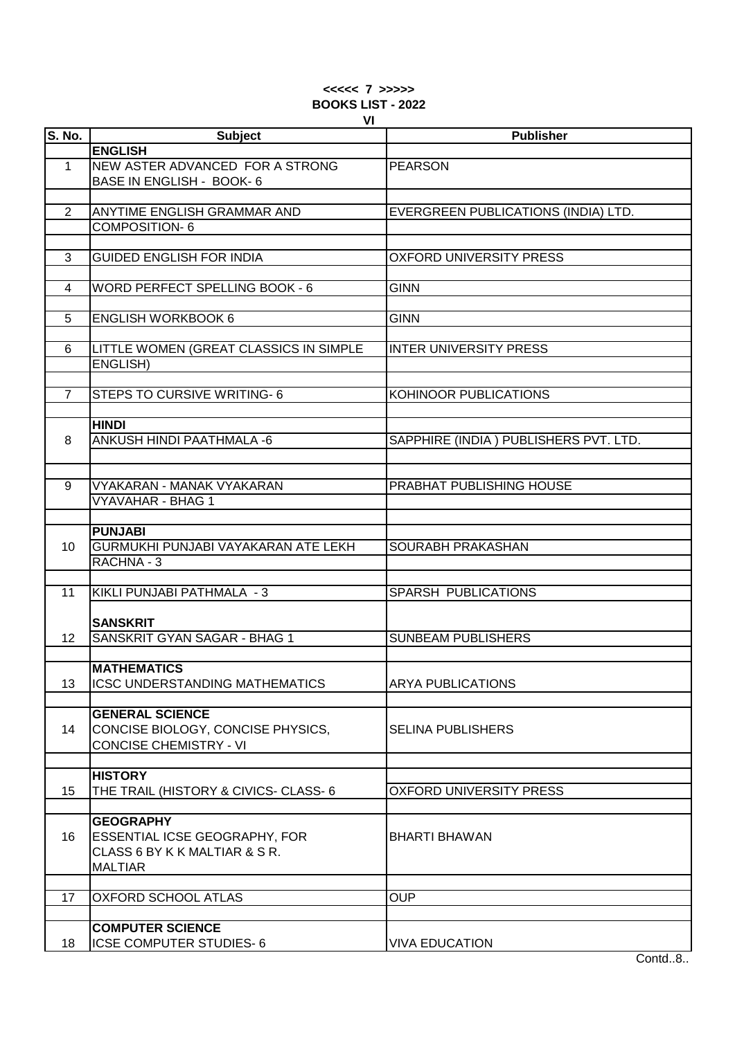#### **<<<<< 7 >>>>> BOOKS LIST - 2022 VI**

| <b>S. No.</b>  | VI<br><b>Subject</b>                               | <b>Publisher</b>                      |
|----------------|----------------------------------------------------|---------------------------------------|
|                | <b>ENGLISH</b>                                     |                                       |
| $\mathbf{1}$   | NEW ASTER ADVANCED FOR A STRONG                    | <b>PEARSON</b>                        |
|                | BASE IN ENGLISH - BOOK- 6                          |                                       |
|                |                                                    |                                       |
| 2              | ANYTIME ENGLISH GRAMMAR AND                        | EVERGREEN PUBLICATIONS (INDIA) LTD.   |
|                |                                                    |                                       |
|                | <b>COMPOSITION-6</b>                               |                                       |
| 3              | <b>GUIDED ENGLISH FOR INDIA</b>                    | <b>OXFORD UNIVERSITY PRESS</b>        |
|                |                                                    |                                       |
| $\overline{4}$ | <b>WORD PERFECT SPELLING BOOK - 6</b>              | <b>GINN</b>                           |
|                |                                                    |                                       |
| 5              |                                                    | <b>GINN</b>                           |
|                | <b>ENGLISH WORKBOOK 6</b>                          |                                       |
|                |                                                    |                                       |
| 6              | LITTLE WOMEN (GREAT CLASSICS IN SIMPLE<br>ENGLISH) | <b>INTER UNIVERSITY PRESS</b>         |
|                |                                                    |                                       |
| $\overline{7}$ | <b>STEPS TO CURSIVE WRITING-6</b>                  | KOHINOOR PUBLICATIONS                 |
|                |                                                    |                                       |
|                | <b>HINDI</b>                                       |                                       |
| 8              | ANKUSH HINDI PAATHMALA -6                          | SAPPHIRE (INDIA) PUBLISHERS PVT. LTD. |
|                |                                                    |                                       |
|                |                                                    |                                       |
|                |                                                    |                                       |
| 9              | VYAKARAN - MANAK VYAKARAN                          | PRABHAT PUBLISHING HOUSE              |
|                | <b>VYAVAHAR - BHAG 1</b>                           |                                       |
|                | <b>PUNJABI</b>                                     |                                       |
|                | GURMUKHI PUNJABI VAYAKARAN ATE LEKH                | SOURABH PRAKASHAN                     |
| 10             |                                                    |                                       |
|                | RACHNA - 3                                         |                                       |
| 11             | KIKLI PUNJABI PATHMALA - 3                         | <b>SPARSH PUBLICATIONS</b>            |
|                |                                                    |                                       |
|                | <b>SANSKRIT</b>                                    |                                       |
| 12             | SANSKRIT GYAN SAGAR - BHAG 1                       | <b>SUNBEAM PUBLISHERS</b>             |
|                |                                                    |                                       |
|                | <b>MATHEMATICS</b>                                 |                                       |
| 13             | ICSC UNDERSTANDING MATHEMATICS                     | <b>ARYA PUBLICATIONS</b>              |
|                |                                                    |                                       |
|                | <b>GENERAL SCIENCE</b>                             |                                       |
| 14             | CONCISE BIOLOGY, CONCISE PHYSICS,                  | <b>SELINA PUBLISHERS</b>              |
|                | <b>CONCISE CHEMISTRY - VI</b>                      |                                       |
|                |                                                    |                                       |
|                | <b>HISTORY</b>                                     |                                       |
| 15             | THE TRAIL (HISTORY & CIVICS- CLASS- 6              | <b>OXFORD UNIVERSITY PRESS</b>        |
|                |                                                    |                                       |
|                | <b>GEOGRAPHY</b>                                   |                                       |
| 16             | ESSENTIAL ICSE GEOGRAPHY, FOR                      | <b>BHARTI BHAWAN</b>                  |
|                | CLASS 6 BY K K MALTIAR & S R.                      |                                       |
|                | <b>MALTIAR</b>                                     |                                       |
|                |                                                    |                                       |
| 17             | <b>OXFORD SCHOOL ATLAS</b>                         | <b>OUP</b>                            |
|                |                                                    |                                       |
|                | <b>COMPUTER SCIENCE</b>                            |                                       |
| 18             | <b>ICSE COMPUTER STUDIES-6</b>                     | <b>VIVA EDUCATION</b>                 |
|                |                                                    |                                       |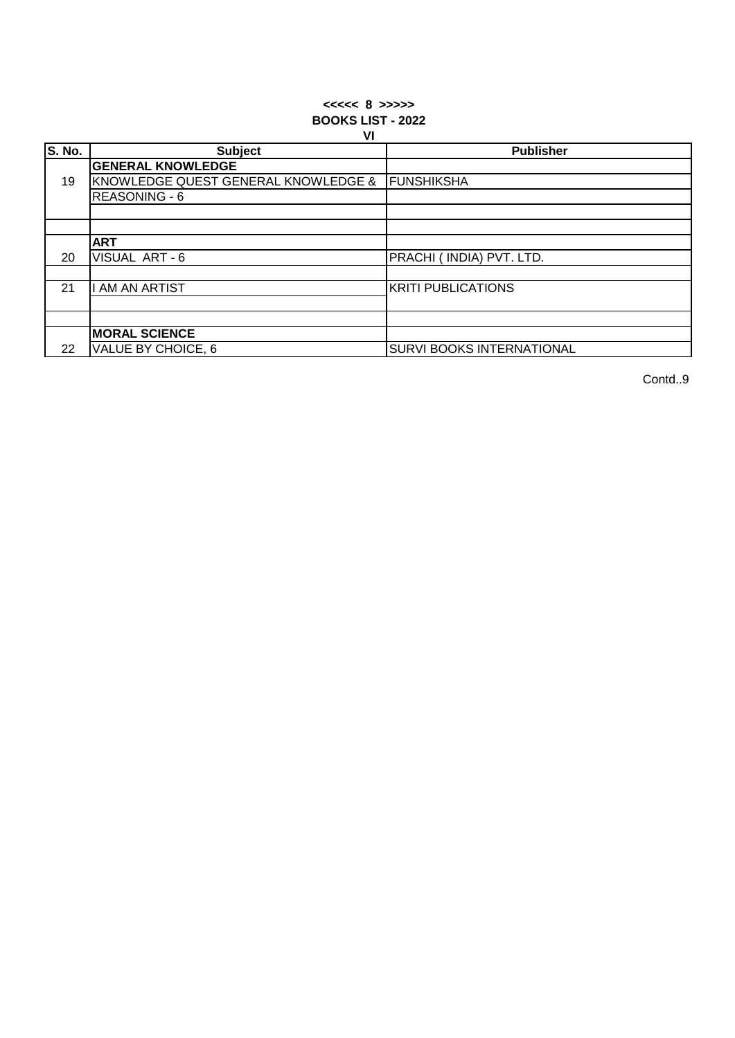### **<<<<< 8 >>>>> BOOKS LIST - 2022 VI**

|               | . .                                 |                           |
|---------------|-------------------------------------|---------------------------|
| <b>S. No.</b> | <b>Subject</b>                      | <b>Publisher</b>          |
|               | <b>GENERAL KNOWLEDGE</b>            |                           |
| 19            | KNOWLEDGE QUEST GENERAL KNOWLEDGE & | <b>FUNSHIKSHA</b>         |
|               | <b>REASONING - 6</b>                |                           |
|               |                                     |                           |
|               |                                     |                           |
|               | <b>ART</b>                          |                           |
| 20            | VISUAL ART-6                        | PRACHI (INDIA) PVT. LTD.  |
|               |                                     |                           |
| 21            | <b>I AM AN ARTIST</b>               | <b>KRITI PUBLICATIONS</b> |
|               |                                     |                           |
|               |                                     |                           |
|               | <b>MORAL SCIENCE</b>                |                           |
| 22            | VALUE BY CHOICE, 6                  | SURVI BOOKS INTERNATIONAL |

Contd..9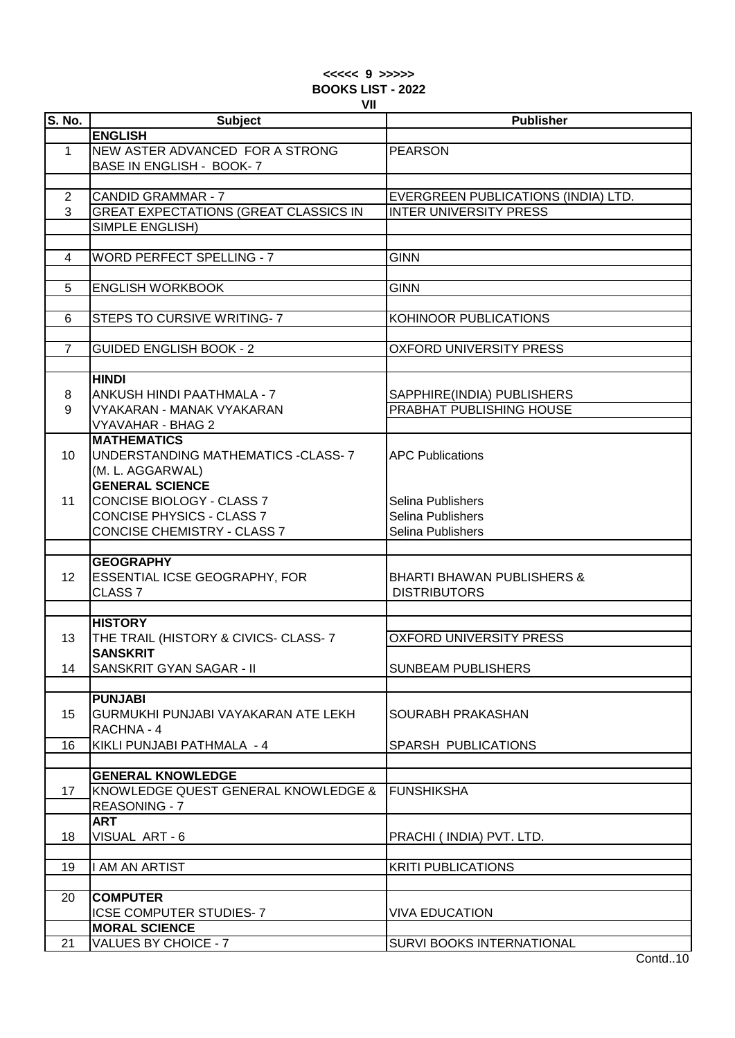# **<<<<< 9 >>>>> BOOKS LIST - 2022 VII**

| <b>S. No.</b>   | <b>Subject</b>                               | <b>Publisher</b>                      |
|-----------------|----------------------------------------------|---------------------------------------|
|                 | <b>ENGLISH</b>                               |                                       |
| $\mathbf 1$     | NEW ASTER ADVANCED FOR A STRONG              | <b>PEARSON</b>                        |
|                 | BASE IN ENGLISH - BOOK- 7                    |                                       |
|                 |                                              |                                       |
| $\overline{2}$  | <b>CANDID GRAMMAR - 7</b>                    | EVERGREEN PUBLICATIONS (INDIA) LTD.   |
| 3               | <b>GREAT EXPECTATIONS (GREAT CLASSICS IN</b> | <b>INTER UNIVERSITY PRESS</b>         |
|                 | SIMPLE ENGLISH)                              |                                       |
|                 |                                              |                                       |
| 4               | <b>WORD PERFECT SPELLING - 7</b>             | <b>GINN</b>                           |
|                 |                                              |                                       |
| 5               | <b>ENGLISH WORKBOOK</b>                      | <b>GINN</b>                           |
|                 |                                              |                                       |
| 6               | STEPS TO CURSIVE WRITING- 7                  | KOHINOOR PUBLICATIONS                 |
|                 |                                              |                                       |
| $\overline{7}$  | <b>GUIDED ENGLISH BOOK - 2</b>               | <b>OXFORD UNIVERSITY PRESS</b>        |
|                 |                                              |                                       |
|                 | <b>HINDI</b>                                 |                                       |
|                 |                                              |                                       |
| 8               | ANKUSH HINDI PAATHMALA - 7                   | SAPPHIRE(INDIA) PUBLISHERS            |
| 9               | <b>VYAKARAN - MANAK VYAKARAN</b>             | PRABHAT PUBLISHING HOUSE              |
|                 | <b>VYAVAHAR - BHAG 2</b>                     |                                       |
|                 | <b>MATHEMATICS</b>                           |                                       |
| 10 <sup>1</sup> | UNDERSTANDING MATHEMATICS -CLASS- 7          | <b>APC Publications</b>               |
|                 | (M. L. AGGARWAL)                             |                                       |
|                 | <b>GENERAL SCIENCE</b>                       |                                       |
| 11              | CONCISE BIOLOGY - CLASS 7                    | Selina Publishers                     |
|                 | <b>CONCISE PHYSICS - CLASS 7</b>             | Selina Publishers                     |
|                 | <b>CONCISE CHEMISTRY - CLASS 7</b>           | Selina Publishers                     |
|                 |                                              |                                       |
|                 | <b>GEOGRAPHY</b>                             |                                       |
| 12 <sup>2</sup> | ESSENTIAL ICSE GEOGRAPHY, FOR                | <b>BHARTI BHAWAN PUBLISHERS &amp;</b> |
|                 | CLASS <sub>7</sub>                           | <b>DISTRIBUTORS</b>                   |
|                 |                                              |                                       |
|                 | <b>HISTORY</b>                               |                                       |
| 13              | THE TRAIL (HISTORY & CIVICS- CLASS- 7        | <b>OXFORD UNIVERSITY PRESS</b>        |
|                 | <b>SANSKRIT</b>                              |                                       |
| 14              | <b>SANSKRIT GYAN SAGAR - II</b>              | <b>SUNBEAM PUBLISHERS</b>             |
|                 |                                              |                                       |
|                 | <b>PUNJABI</b>                               |                                       |
| 15              | GURMUKHI PUNJABI VAYAKARAN ATE LEKH          | SOURABH PRAKASHAN                     |
|                 | RACHNA - 4                                   |                                       |
| 16              | KIKLI PUNJABI PATHMALA - 4                   | SPARSH PUBLICATIONS                   |
|                 |                                              |                                       |
|                 | <b>GENERAL KNOWLEDGE</b>                     |                                       |
| 17              | KNOWLEDGE QUEST GENERAL KNOWLEDGE &          | <b>FUNSHIKSHA</b>                     |
|                 | REASONING - 7                                |                                       |
|                 | <b>ART</b>                                   |                                       |
| 18              | VISUAL ART-6                                 | PRACHI (INDIA) PVT. LTD.              |
|                 |                                              |                                       |
| 19              | I AM AN ARTIST                               | <b>KRITI PUBLICATIONS</b>             |
|                 |                                              |                                       |
| 20              | <b>COMPUTER</b>                              |                                       |
|                 |                                              |                                       |
|                 | <b>ICSE COMPUTER STUDIES-7</b>               | <b>VIVA EDUCATION</b>                 |
|                 | <b>MORAL SCIENCE</b>                         |                                       |
| 21              | <b>VALUES BY CHOICE - 7</b>                  | SURVI BOOKS INTERNATIONAL             |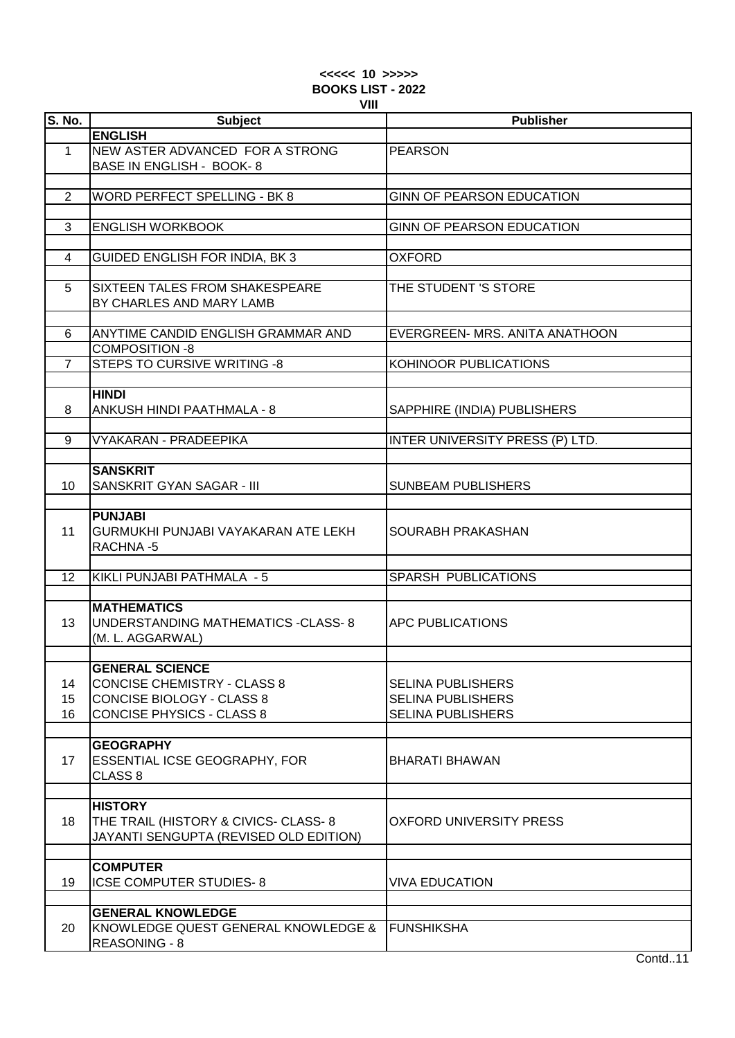## **<<<<< 10 >>>>> BOOKS LIST - 2022 VIII**

| S. No.         | <b>Subject</b>                         | <b>Publisher</b>                 |
|----------------|----------------------------------------|----------------------------------|
|                | <b>ENGLISH</b>                         |                                  |
| $\mathbf{1}$   | NEW ASTER ADVANCED FOR A STRONG        | <b>PEARSON</b>                   |
|                | BASE IN ENGLISH - BOOK-8               |                                  |
|                |                                        |                                  |
| 2              | <b>WORD PERFECT SPELLING - BK 8</b>    | GINN OF PEARSON EDUCATION        |
|                |                                        |                                  |
|                |                                        |                                  |
| 3              | <b>ENGLISH WORKBOOK</b>                | <b>GINN OF PEARSON EDUCATION</b> |
|                |                                        |                                  |
| 4              | GUIDED ENGLISH FOR INDIA, BK 3         | OXFORD                           |
|                |                                        |                                  |
| 5              | SIXTEEN TALES FROM SHAKESPEARE         | THE STUDENT 'S STORE             |
|                | BY CHARLES AND MARY LAMB               |                                  |
|                |                                        |                                  |
| 6              | ANYTIME CANDID ENGLISH GRAMMAR AND     | EVERGREEN- MRS. ANITA ANATHOON   |
|                | <b>COMPOSITION -8</b>                  |                                  |
| $\overline{7}$ | <b>STEPS TO CURSIVE WRITING -8</b>     | KOHINOOR PUBLICATIONS            |
|                |                                        |                                  |
|                | <b>HINDI</b>                           |                                  |
| 8              | ANKUSH HINDI PAATHMALA - 8             | SAPPHIRE (INDIA) PUBLISHERS      |
|                |                                        |                                  |
| 9              | VYAKARAN - PRADEEPIKA                  | INTER UNIVERSITY PRESS (P) LTD.  |
|                |                                        |                                  |
|                | <b>SANSKRIT</b>                        |                                  |
| 10             | SANSKRIT GYAN SAGAR - III              | <b>SUNBEAM PUBLISHERS</b>        |
|                |                                        |                                  |
|                | <b>PUNJABI</b>                         |                                  |
| 11             | GURMUKHI PUNJABI VAYAKARAN ATE LEKH    | SOURABH PRAKASHAN                |
|                | RACHNA-5                               |                                  |
|                |                                        |                                  |
| 12             | KIKLI PUNJABI PATHMALA - 5             | SPARSH PUBLICATIONS              |
|                |                                        |                                  |
|                | <b>MATHEMATICS</b>                     |                                  |
| 13             | UNDERSTANDING MATHEMATICS -CLASS- 8    | <b>APC PUBLICATIONS</b>          |
|                | (M. L. AGGARWAL)                       |                                  |
|                |                                        |                                  |
|                | <b>GENERAL SCIENCE</b>                 |                                  |
| 14             | <b>CONCISE CHEMISTRY - CLASS 8</b>     | <b>SELINA PUBLISHERS</b>         |
| 15             | <b>CONCISE BIOLOGY - CLASS 8</b>       | <b>SELINA PUBLISHERS</b>         |
| 16             | <b>CONCISE PHYSICS - CLASS 8</b>       | <b>SELINA PUBLISHERS</b>         |
|                |                                        |                                  |
|                | <b>GEOGRAPHY</b>                       |                                  |
| 17             | <b>ESSENTIAL ICSE GEOGRAPHY, FOR</b>   | BHARATI BHAWAN                   |
|                | CLASS <sub>8</sub>                     |                                  |
|                |                                        |                                  |
|                | <b>HISTORY</b>                         |                                  |
| 18             | THE TRAIL (HISTORY & CIVICS- CLASS- 8  | OXFORD UNIVERSITY PRESS          |
|                | JAYANTI SENGUPTA (REVISED OLD EDITION) |                                  |
|                |                                        |                                  |
|                | <b>COMPUTER</b>                        |                                  |
| 19             | ICSE COMPUTER STUDIES-8                | <b>VIVA EDUCATION</b>            |
|                |                                        |                                  |
|                | <b>GENERAL KNOWLEDGE</b>               |                                  |
| 20             | KNOWLEDGE QUEST GENERAL KNOWLEDGE &    | <b>FUNSHIKSHA</b>                |
|                | <b>REASONING - 8</b>                   |                                  |
|                |                                        |                                  |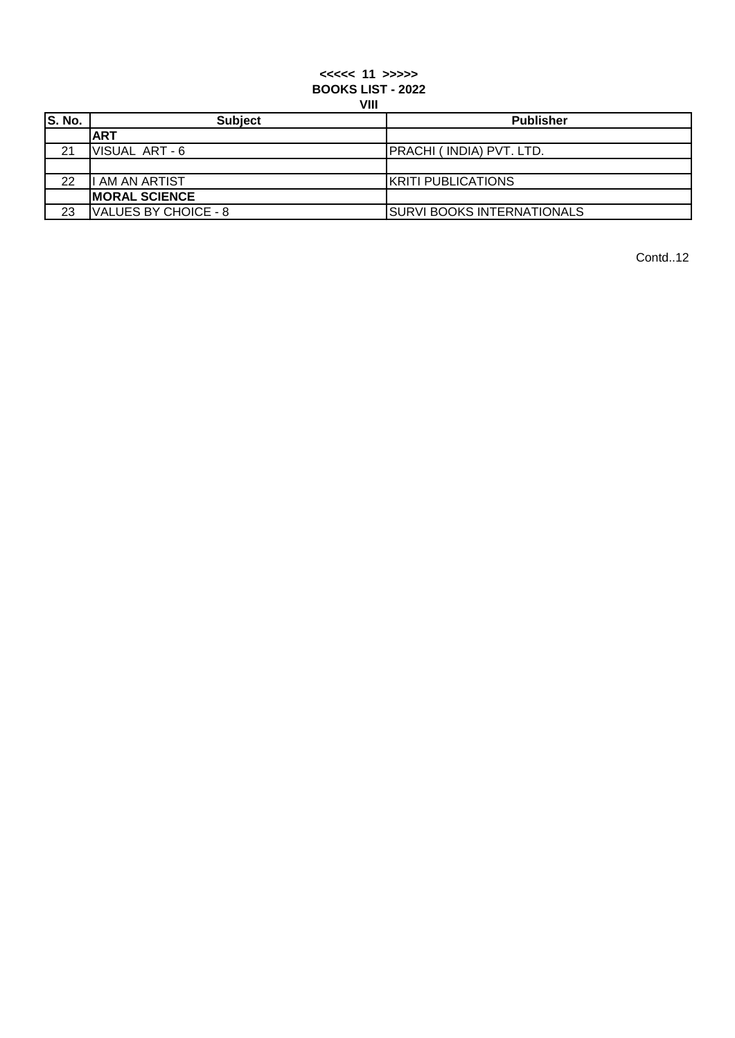# **<<<<< 11 >>>>> BOOKS LIST - 2022 VIII**

| <b>v</b>      |                      |                                   |
|---------------|----------------------|-----------------------------------|
| <b>S. No.</b> | <b>Subject</b>       | <b>Publisher</b>                  |
|               | <b>ART</b>           |                                   |
| 21            | VISUAL ART-6         | PRACHI ( INDIA) PVT. LTD.         |
|               |                      |                                   |
| 22            | I AM AN ARTIST       | KRITI PUBLICATIONS                |
|               | <b>MORAL SCIENCE</b> |                                   |
| 23            | VALUES BY CHOICE - 8 | <b>SURVI BOOKS INTERNATIONALS</b> |

Contd..12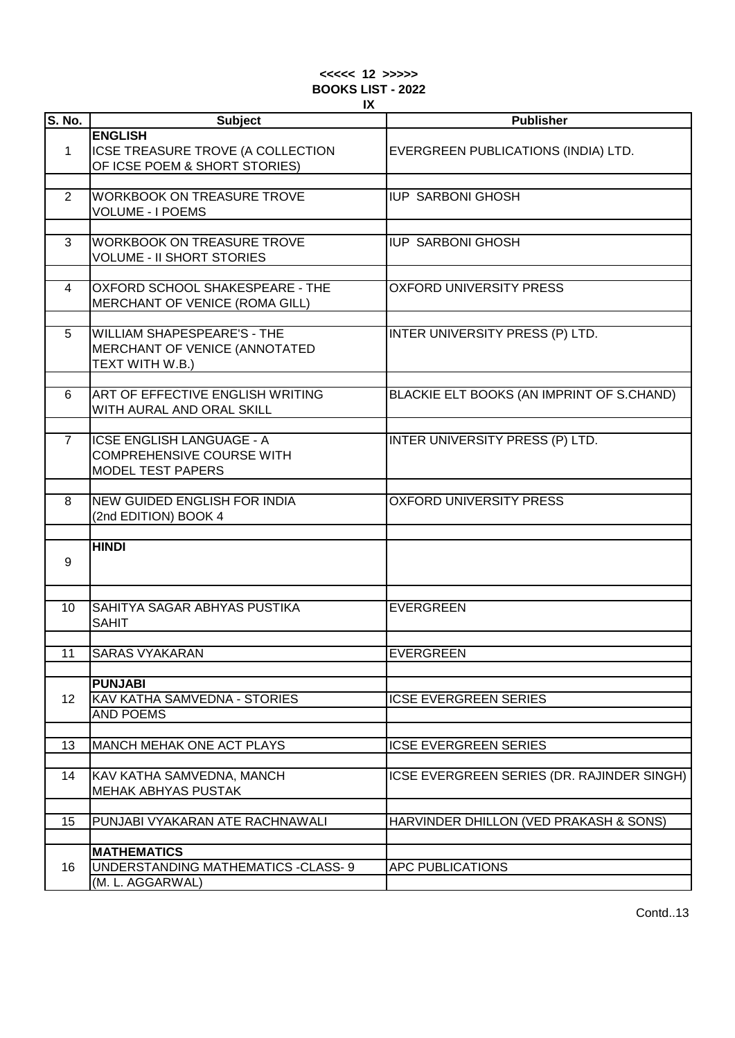| $<<<<$ 12 >>>>>          |    |  |
|--------------------------|----|--|
| <b>BOOKS LIST - 2022</b> |    |  |
|                          | IX |  |

| <b>S. No.</b> | <b>Subject</b>                      | <b>Publisher</b>                           |
|---------------|-------------------------------------|--------------------------------------------|
|               |                                     |                                            |
|               | <b>ENGLISH</b>                      |                                            |
| $\mathbf{1}$  | ICSE TREASURE TROVE (A COLLECTION   | EVERGREEN PUBLICATIONS (INDIA) LTD.        |
|               | OF ICSE POEM & SHORT STORIES)       |                                            |
|               |                                     |                                            |
|               | <b>WORKBOOK ON TREASURE TROVE</b>   | <b>IUP SARBONI GHOSH</b>                   |
| 2             |                                     |                                            |
|               | <b>VOLUME - I POEMS</b>             |                                            |
|               |                                     |                                            |
| 3             | <b>WORKBOOK ON TREASURE TROVE</b>   | <b>IUP SARBONI GHOSH</b>                   |
|               | <b>VOLUME - II SHORT STORIES</b>    |                                            |
|               |                                     |                                            |
|               |                                     |                                            |
| 4             | OXFORD SCHOOL SHAKESPEARE - THE     | <b>OXFORD UNIVERSITY PRESS</b>             |
|               | MERCHANT OF VENICE (ROMA GILL)      |                                            |
|               |                                     |                                            |
| 5             | <b>WILLIAM SHAPESPEARE'S - THE</b>  | INTER UNIVERSITY PRESS (P) LTD.            |
|               | MERCHANT OF VENICE (ANNOTATED       |                                            |
|               |                                     |                                            |
|               | TEXT WITH W.B.)                     |                                            |
|               |                                     |                                            |
| 6             | ART OF EFFECTIVE ENGLISH WRITING    | BLACKIE ELT BOOKS (AN IMPRINT OF S.CHAND)  |
|               | WITH AURAL AND ORAL SKILL           |                                            |
|               |                                     |                                            |
| $\mathbf{7}$  | <b>ICSE ENGLISH LANGUAGE - A</b>    | INTER UNIVERSITY PRESS (P) LTD.            |
|               |                                     |                                            |
|               | <b>COMPREHENSIVE COURSE WITH</b>    |                                            |
|               | <b>MODEL TEST PAPERS</b>            |                                            |
|               |                                     |                                            |
| 8             | <b>NEW GUIDED ENGLISH FOR INDIA</b> | <b>OXFORD UNIVERSITY PRESS</b>             |
|               | (2nd EDITION) BOOK 4                |                                            |
|               |                                     |                                            |
|               | <b>HINDI</b>                        |                                            |
|               |                                     |                                            |
| 9             |                                     |                                            |
|               |                                     |                                            |
|               |                                     |                                            |
| 10            | SAHITYA SAGAR ABHYAS PUSTIKA        | <b>EVERGREEN</b>                           |
|               | <b>SAHIT</b>                        |                                            |
|               |                                     |                                            |
|               |                                     |                                            |
| 11            | <b>SARAS VYAKARAN</b>               | <b>EVERGREEN</b>                           |
|               |                                     |                                            |
|               | <b>PUNJABI</b>                      |                                            |
| 12            | KAV KATHA SAMVEDNA - STORIES        | <b>ICSE EVERGREEN SERIES</b>               |
|               | <b>AND POEMS</b>                    |                                            |
|               |                                     |                                            |
| 13            | MANCH MEHAK ONE ACT PLAYS           | <b>ICSE EVERGREEN SERIES</b>               |
|               |                                     |                                            |
|               |                                     |                                            |
| 14            | KAV KATHA SAMVEDNA, MANCH           | ICSE EVERGREEN SERIES (DR. RAJINDER SINGH) |
|               | <b>MEHAK ABHYAS PUSTAK</b>          |                                            |
|               |                                     |                                            |
| 15            | PUNJABI VYAKARAN ATE RACHNAWALI     | HARVINDER DHILLON (VED PRAKASH & SONS)     |
|               |                                     |                                            |
|               |                                     |                                            |
|               | <b>MATHEMATICS</b>                  |                                            |
| 16            | UNDERSTANDING MATHEMATICS -CLASS- 9 | <b>APC PUBLICATIONS</b>                    |
|               | (M. L. AGGARWAL)                    |                                            |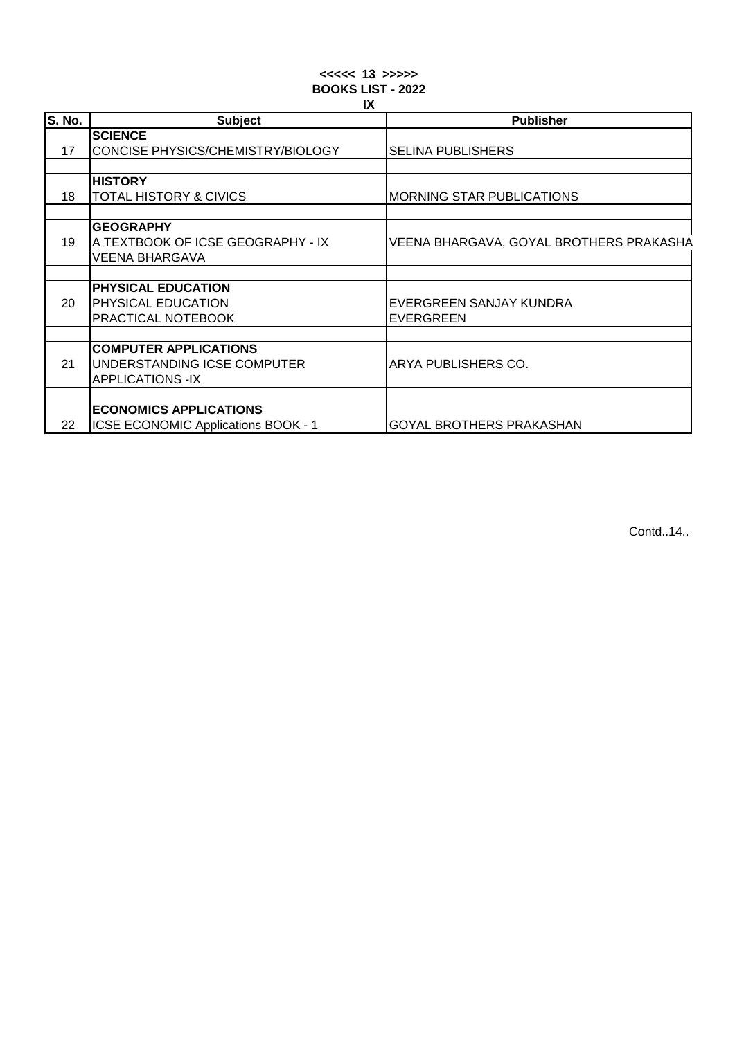## **<<<<< 13 >>>>> BOOKS LIST - 2022 IX**

| $\overline{\mathsf{S}}$ . No. | <b>Subject</b>                             | <b>Publisher</b>                        |
|-------------------------------|--------------------------------------------|-----------------------------------------|
|                               | <b>SCIENCE</b>                             |                                         |
| 17                            | CONCISE PHYSICS/CHEMISTRY/BIOLOGY          | <b>SELINA PUBLISHERS</b>                |
|                               |                                            |                                         |
|                               | <b>HISTORY</b>                             |                                         |
| 18                            | <b>TOTAL HISTORY &amp; CIVICS</b>          | <b>MORNING STAR PUBLICATIONS</b>        |
|                               |                                            |                                         |
|                               | <b>GEOGRAPHY</b>                           |                                         |
| 19                            | A TEXTBOOK OF ICSE GEOGRAPHY - IX          | VEENA BHARGAVA, GOYAL BROTHERS PRAKASHA |
|                               | <b>VEENA BHARGAVA</b>                      |                                         |
|                               |                                            |                                         |
|                               | PHYSICAL EDUCATION                         |                                         |
| 20                            | PHYSICAL EDUCATION                         | EVERGREEN SANJAY KUNDRA                 |
|                               | PRACTICAL NOTEBOOK                         | <b>EVERGREEN</b>                        |
|                               |                                            |                                         |
|                               | <b>COMPUTER APPLICATIONS</b>               |                                         |
| 21                            | UNDERSTANDING ICSE COMPUTER                | ARYA PUBLISHERS CO.                     |
|                               | <b>APPLICATIONS -IX</b>                    |                                         |
|                               |                                            |                                         |
|                               | <b>ECONOMICS APPLICATIONS</b>              |                                         |
| 22                            | <b>ICSE ECONOMIC Applications BOOK - 1</b> | <b>GOYAL BROTHERS PRAKASHAN</b>         |

Contd..14..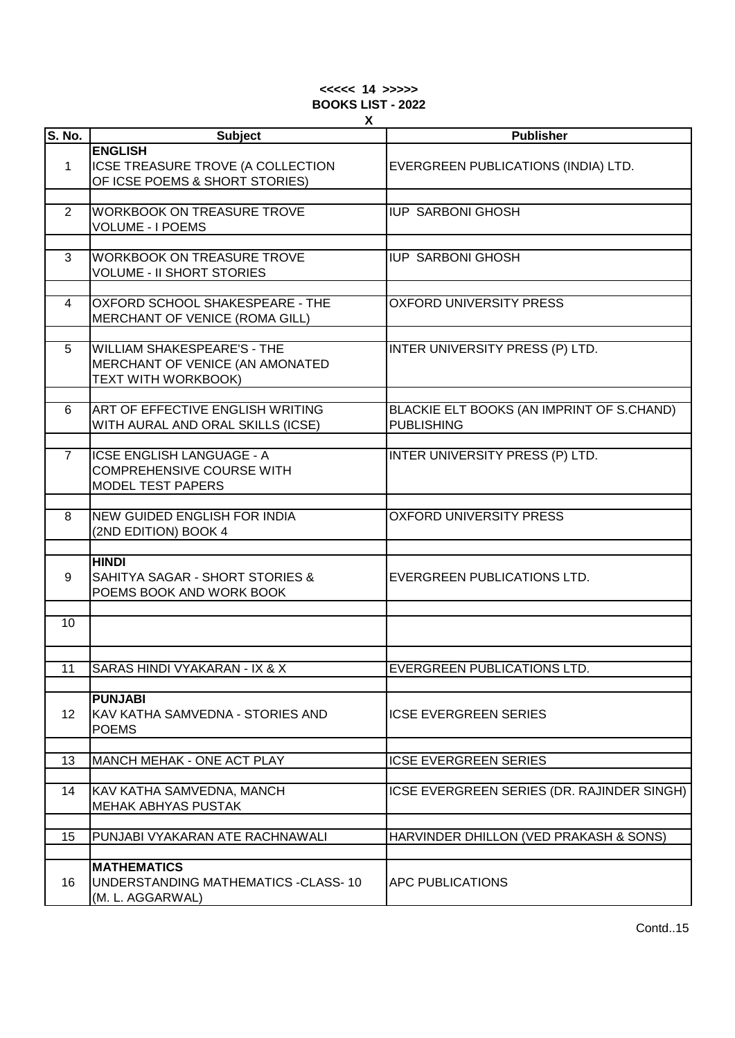#### **<<<<< 14 >>>>> BOOKS LIST - 2022 X**

|                 | X.                                                                                               |                                                                |
|-----------------|--------------------------------------------------------------------------------------------------|----------------------------------------------------------------|
| <b>S. No.</b>   | <b>Subject</b>                                                                                   | <b>Publisher</b>                                               |
| $\mathbf{1}$    | <b>ENGLISH</b><br>ICSE TREASURE TROVE (A COLLECTION<br>OF ICSE POEMS & SHORT STORIES)            | EVERGREEN PUBLICATIONS (INDIA) LTD.                            |
| 2               | <b>WORKBOOK ON TREASURE TROVE</b><br><b>VOLUME - I POEMS</b>                                     | <b>IUP SARBONI GHOSH</b>                                       |
|                 |                                                                                                  |                                                                |
| 3               | <b>WORKBOOK ON TREASURE TROVE</b><br><b>VOLUME - II SHORT STORIES</b>                            | <b>IUP SARBONI GHOSH</b>                                       |
| 4               | OXFORD SCHOOL SHAKESPEARE - THE<br>MERCHANT OF VENICE (ROMA GILL)                                | <b>OXFORD UNIVERSITY PRESS</b>                                 |
| 5               | <b>WILLIAM SHAKESPEARE'S - THE</b><br>MERCHANT OF VENICE (AN AMONATED<br>TEXT WITH WORKBOOK)     | INTER UNIVERSITY PRESS (P) LTD.                                |
| 6               | ART OF EFFECTIVE ENGLISH WRITING<br>WITH AURAL AND ORAL SKILLS (ICSE)                            | BLACKIE ELT BOOKS (AN IMPRINT OF S.CHAND)<br><b>PUBLISHING</b> |
| $\overline{7}$  | <b>ICSE ENGLISH LANGUAGE - A</b><br><b>COMPREHENSIVE COURSE WITH</b><br><b>MODEL TEST PAPERS</b> | INTER UNIVERSITY PRESS (P) LTD.                                |
| 8               | <b>NEW GUIDED ENGLISH FOR INDIA</b><br>(2ND EDITION) BOOK 4                                      | <b>OXFORD UNIVERSITY PRESS</b>                                 |
| 9               | <b>HINDI</b><br><b>SAHITYA SAGAR - SHORT STORIES &amp;</b><br>POEMS BOOK AND WORK BOOK           | EVERGREEN PUBLICATIONS LTD.                                    |
| 10 <sup>°</sup> |                                                                                                  |                                                                |
|                 |                                                                                                  |                                                                |
| 11              | SARAS HINDI VYAKARAN - IX & X                                                                    | <b>EVERGREEN PUBLICATIONS LTD.</b>                             |
| 12              | <b>PUNJABI</b><br>KAV KATHA SAMVEDNA - STORIES AND<br><b>POEMS</b>                               | <b>ICSE EVERGREEN SERIES</b>                                   |
|                 |                                                                                                  |                                                                |
| 13              | MANCH MEHAK - ONE ACT PLAY                                                                       | <b>ICSE EVERGREEN SERIES</b>                                   |
| 14              | KAV KATHA SAMVEDNA, MANCH<br><b>MEHAK ABHYAS PUSTAK</b>                                          | ICSE EVERGREEN SERIES (DR. RAJINDER SINGH)                     |
| 15              | PUNJABI VYAKARAN ATE RACHNAWALI                                                                  | HARVINDER DHILLON (VED PRAKASH & SONS)                         |
|                 |                                                                                                  |                                                                |
| 16              | <b>MATHEMATICS</b><br>UNDERSTANDING MATHEMATICS -CLASS-10<br>(M. L. AGGARWAL)                    | APC PUBLICATIONS                                               |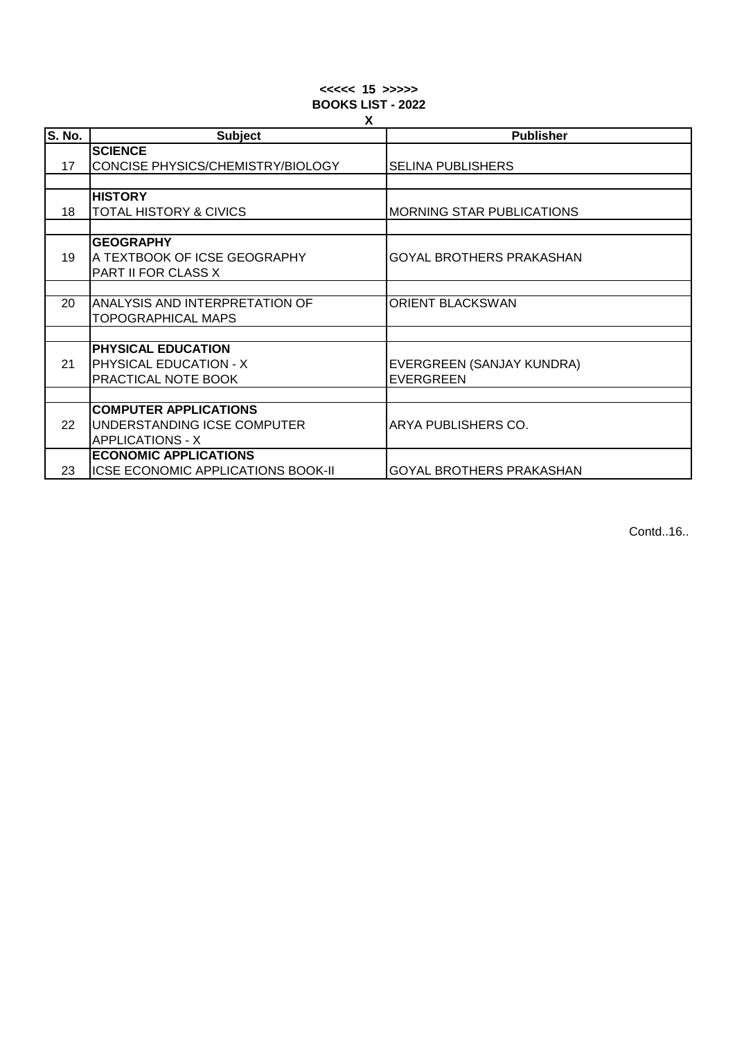### **<<<<< 15 >>>>> BOOKS LIST - 2022 X**

|        | $\lambda$                          |                                  |  |
|--------|------------------------------------|----------------------------------|--|
| S. No. | <b>Subject</b>                     | <b>Publisher</b>                 |  |
|        | <b>SCIENCE</b>                     |                                  |  |
| 17     | CONCISE PHYSICS/CHEMISTRY/BIOLOGY  | <b>SELINA PUBLISHERS</b>         |  |
|        |                                    |                                  |  |
|        | <b>HISTORY</b>                     |                                  |  |
| 18     | TOTAL HISTORY & CIVICS             | <b>MORNING STAR PUBLICATIONS</b> |  |
|        |                                    |                                  |  |
|        | <b>GEOGRAPHY</b>                   |                                  |  |
| 19     | A TEXTBOOK OF ICSE GEOGRAPHY       | <b>GOYAL BROTHERS PRAKASHAN</b>  |  |
|        | PART II FOR CLASS X                |                                  |  |
|        |                                    |                                  |  |
| 20     | ANALYSIS AND INTERPRETATION OF     | <b>ORIENT BLACKSWAN</b>          |  |
|        | TOPOGRAPHICAL MAPS                 |                                  |  |
|        |                                    |                                  |  |
|        | PHYSICAL EDUCATION                 |                                  |  |
| 21     | PHYSICAL EDUCATION - X             | EVERGREEN (SANJAY KUNDRA)        |  |
|        | PRACTICAL NOTE BOOK                | <b>EVERGREEN</b>                 |  |
|        |                                    |                                  |  |
|        | <b>COMPUTER APPLICATIONS</b>       |                                  |  |
| 22     | UNDERSTANDING ICSE COMPUTER        | ARYA PUBLISHERS CO.              |  |
|        | <b>APPLICATIONS - X</b>            |                                  |  |
|        | <b>ECONOMIC APPLICATIONS</b>       |                                  |  |
| 23     | ICSE ECONOMIC APPLICATIONS BOOK-II | <b>GOYAL BROTHERS PRAKASHAN</b>  |  |

Contd..16..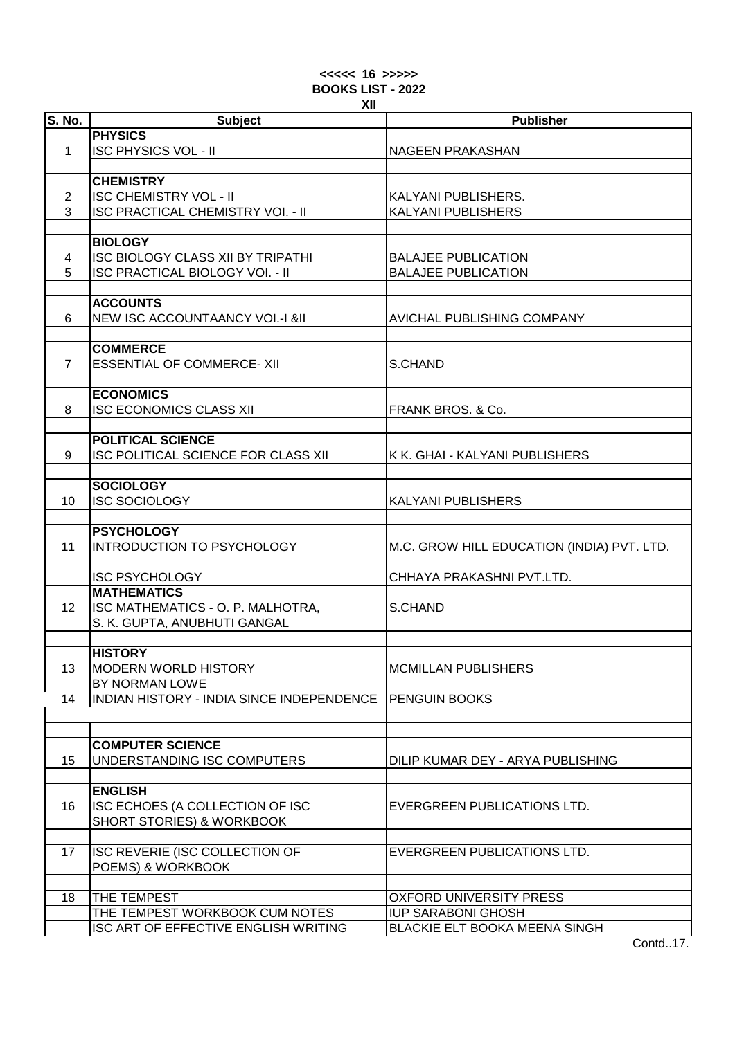| $<<<<$ 16 >>>>> |     |                          |
|-----------------|-----|--------------------------|
|                 |     | <b>BOOKS LIST - 2022</b> |
|                 | XII |                          |

| <b>S. No.</b>  | <b>Subject</b>                            | <b>Publisher</b>                           |
|----------------|-------------------------------------------|--------------------------------------------|
|                | <b>PHYSICS</b>                            |                                            |
| 1              | <b>ISC PHYSICS VOL - II</b>               | <b>NAGEEN PRAKASHAN</b>                    |
|                |                                           |                                            |
|                | <b>CHEMISTRY</b>                          |                                            |
|                |                                           |                                            |
| $\overline{2}$ | <b>ISC CHEMISTRY VOL - II</b>             | KALYANI PUBLISHERS.                        |
| 3              | <b>ISC PRACTICAL CHEMISTRY VOI. - II</b>  | KALYANI PUBLISHERS                         |
|                |                                           |                                            |
|                | <b>BIOLOGY</b>                            |                                            |
| 4              | <b>ISC BIOLOGY CLASS XII BY TRIPATHI</b>  | <b>BALAJEE PUBLICATION</b>                 |
| 5              | <b>ISC PRACTICAL BIOLOGY VOI. - II</b>    | <b>BALAJEE PUBLICATION</b>                 |
|                |                                           |                                            |
|                | <b>ACCOUNTS</b>                           |                                            |
| 6              | NEW ISC ACCOUNTAANCY VOI.-I &II           | AVICHAL PUBLISHING COMPANY                 |
|                |                                           |                                            |
|                |                                           |                                            |
|                | <b>COMMERCE</b>                           |                                            |
| $\overline{7}$ | <b>ESSENTIAL OF COMMERCE- XII</b>         | S.CHAND                                    |
|                |                                           |                                            |
|                | <b>ECONOMICS</b>                          |                                            |
| 8              | <b>ISC ECONOMICS CLASS XII</b>            | FRANK BROS. & Co.                          |
|                |                                           |                                            |
|                | <b>POLITICAL SCIENCE</b>                  |                                            |
| 9              | ISC POLITICAL SCIENCE FOR CLASS XII       | K K. GHAI - KALYANI PUBLISHERS             |
|                |                                           |                                            |
|                | <b>SOCIOLOGY</b>                          |                                            |
| 10             | <b>ISC SOCIOLOGY</b>                      | <b>KALYANI PUBLISHERS</b>                  |
|                |                                           |                                            |
|                | <b>PSYCHOLOGY</b>                         |                                            |
| 11             | <b>INTRODUCTION TO PSYCHOLOGY</b>         | M.C. GROW HILL EDUCATION (INDIA) PVT. LTD. |
|                |                                           |                                            |
|                |                                           |                                            |
|                | <b>ISC PSYCHOLOGY</b>                     | CHHAYA PRAKASHNI PVT.LTD.                  |
|                | <b>MATHEMATICS</b>                        |                                            |
| 12             | ISC MATHEMATICS - O. P. MALHOTRA,         | S.CHAND                                    |
|                | S. K. GUPTA, ANUBHUTI GANGAL              |                                            |
|                |                                           |                                            |
|                | <b>HISTORY</b>                            |                                            |
| 13             | MODERN WORLD HISTORY                      | <b>MCMILLAN PUBLISHERS</b>                 |
|                | BY NORMAN LOWE                            |                                            |
| 14             | INDIAN HISTORY - INDIA SINCE INDEPENDENCE | <b>PENGUIN BOOKS</b>                       |
|                |                                           |                                            |
|                |                                           |                                            |
|                | <b>COMPUTER SCIENCE</b>                   |                                            |
| 15             | UNDERSTANDING ISC COMPUTERS               | DILIP KUMAR DEY - ARYA PUBLISHING          |
|                |                                           |                                            |
|                | <b>ENGLISH</b>                            |                                            |
|                |                                           |                                            |
| 16             | ISC ECHOES (A COLLECTION OF ISC           | EVERGREEN PUBLICATIONS LTD.                |
|                | SHORT STORIES) & WORKBOOK                 |                                            |
|                |                                           |                                            |
| 17             | ISC REVERIE (ISC COLLECTION OF            | EVERGREEN PUBLICATIONS LTD.                |
|                | POEMS) & WORKBOOK                         |                                            |
|                |                                           |                                            |
| 18             | THE TEMPEST                               | <b>OXFORD UNIVERSITY PRESS</b>             |
|                | THE TEMPEST WORKBOOK CUM NOTES            | <b>IUP SARABONI GHOSH</b>                  |
|                | ISC ART OF EFFECTIVE ENGLISH WRITING      | BLACKIE ELT BOOKA MEENA SINGH              |
|                |                                           | $C_{\text{and}}$ $47$                      |

Contd..17.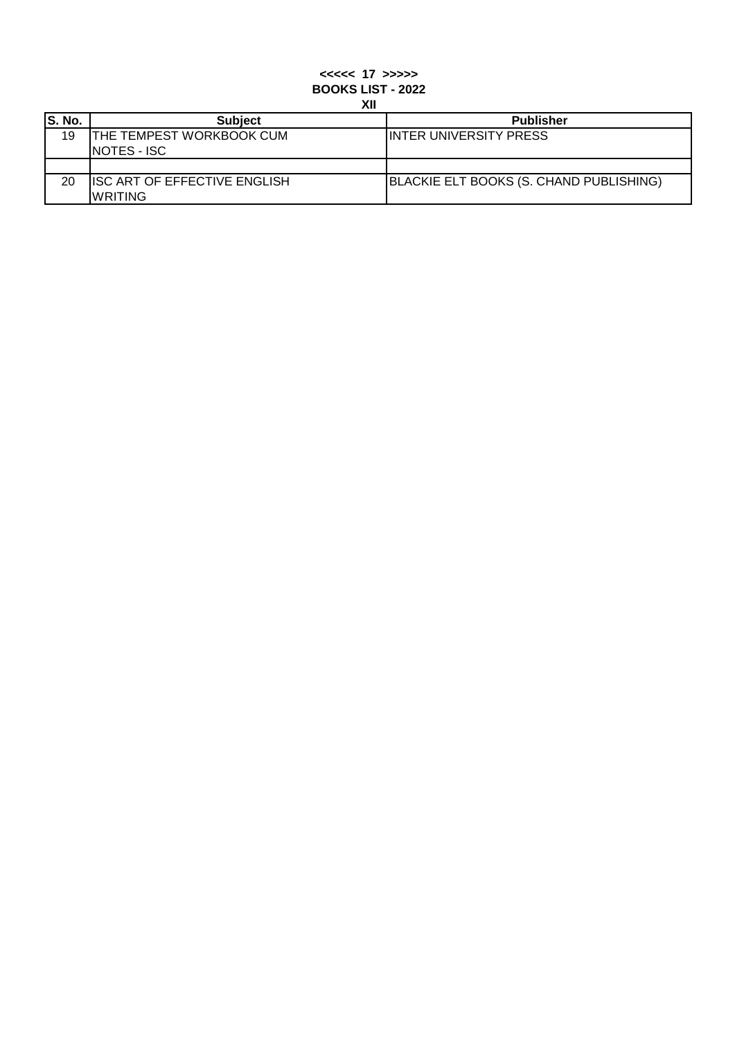# **XII <<<<< 17 >>>>> BOOKS LIST - 2022**

| S. No. | <b>Subject</b>                                          | <b>Publisher</b>                        |
|--------|---------------------------------------------------------|-----------------------------------------|
| 19     | <b>ITHE TEMPEST WORKBOOK CUM</b><br><b>INOTES - ISC</b> | <b>INTER UNIVERSITY PRESS</b>           |
|        |                                                         |                                         |
| 20     | <b>ISC ART OF EFFECTIVE ENGLISH</b><br>IWRITING         | BLACKIE ELT BOOKS (S. CHAND PUBLISHING) |